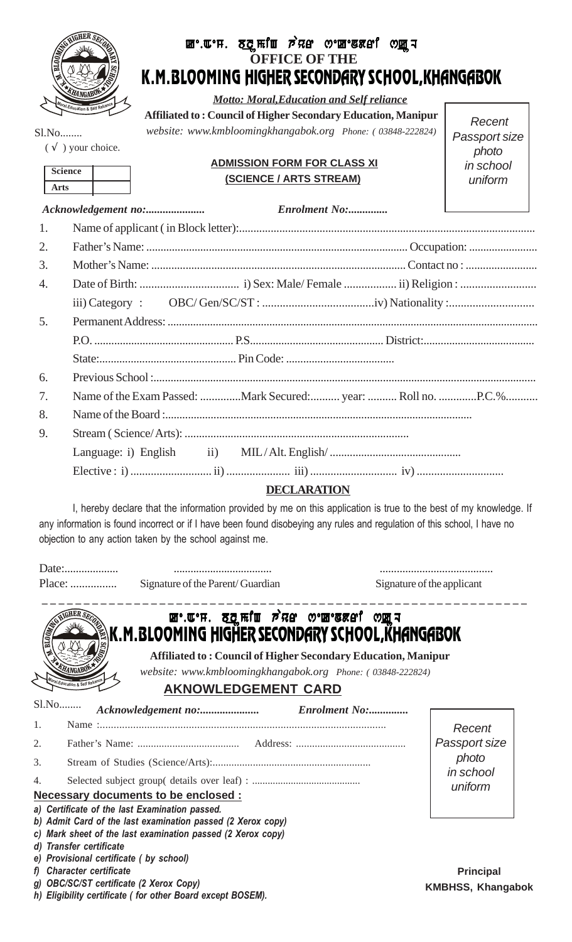

# **OFFICE OF THE** K.M.BLOOMING HIGHER SECONDARY SCHOOL,KHANGABOK **ke.aem. blogfind** *pr***ef** of the sket o<u>f a</u>

 *Motto: Moral,Education and Self reliance*

**Affiliated to : Council of Higher Secondary Education, Manipur** *website: www.kmbloomingkhangabok.org Phone: ( 03848-222824)*

Recent Passport size photo in school uniform

Sl.No........  $(\sqrt{\ })$  your choice.

| <b>Science</b> |  |
|----------------|--|
| <b>Arts</b>    |  |

#### **ADMISSION FORM FOR CLASS XI (SCIENCE / ARTS STREAM)**

|    | <b>Enrolment No:</b> | the control of the control of the control of                 |
|----|----------------------|--------------------------------------------------------------|
| 1. |                      |                                                              |
| 2. |                      |                                                              |
| 3. |                      |                                                              |
| 4. |                      |                                                              |
|    |                      |                                                              |
| 5. |                      |                                                              |
|    |                      |                                                              |
|    |                      |                                                              |
| 6. |                      |                                                              |
| 7. |                      | Name of the Exam Passed: Mark Secured: year:  Roll no. P.C.% |
| 8. |                      |                                                              |
| 9. |                      |                                                              |
|    |                      |                                                              |
|    |                      |                                                              |
|    |                      |                                                              |

### **DECLARATION**

I, hereby declare that the information provided by me on this application is true to the best of my knowledge. If any information is found incorrect or if I have been found disobeying any rules and regulation of this school, I have no objection to any action taken by the school against me.

Date:................... ................................... ........................................ Place: ................ Signature of the Parent/ Guardian Signature of the applicant

| <b>m</b> .w.H. ठटुमधी छेस्थ ०. m. say and www.h<br><b>CONTROLLATION AND RESERVE</b><br>ÅK.M.BLOOMING HIGHER SECONDARY SCHOOL,KHANGABOK<br><b>Affiliated to: Council of Higher Secondary Education, Manipur</b>      |                                                          |  |  |  |
|---------------------------------------------------------------------------------------------------------------------------------------------------------------------------------------------------------------------|----------------------------------------------------------|--|--|--|
| <b>MANGABON</b><br>website: www.kmbloomingkhangabok.org Phone: (03848-222824)<br>oral, Education & Self Relian<br><b>AKNOWLEDGEMENT CARD</b>                                                                        |                                                          |  |  |  |
| S1.No<br>Enrolment No:<br>$\mathbf{1}$ .<br>2.<br>3.<br>4.<br>Necessary documents to be enclosed :<br>a) Certificate of the last Examination passed.<br>b) Admit Card of the last examination passed (2 Xerox copy) | Recent<br>Passport size<br>photo<br>in school<br>uniform |  |  |  |
| c) Mark sheet of the last examination passed (2 Xerox copy)<br>d) Transfer certificate<br>e) Provisional certificate (by school)                                                                                    |                                                          |  |  |  |

*f) Character certificate*

- *g) OBC/SC/ST certificate (2 Xerox Copy)*
- *h) Eligibility certificate ( for other Board except BOSEM).*

**Principal KMBHSS, Khangabok**